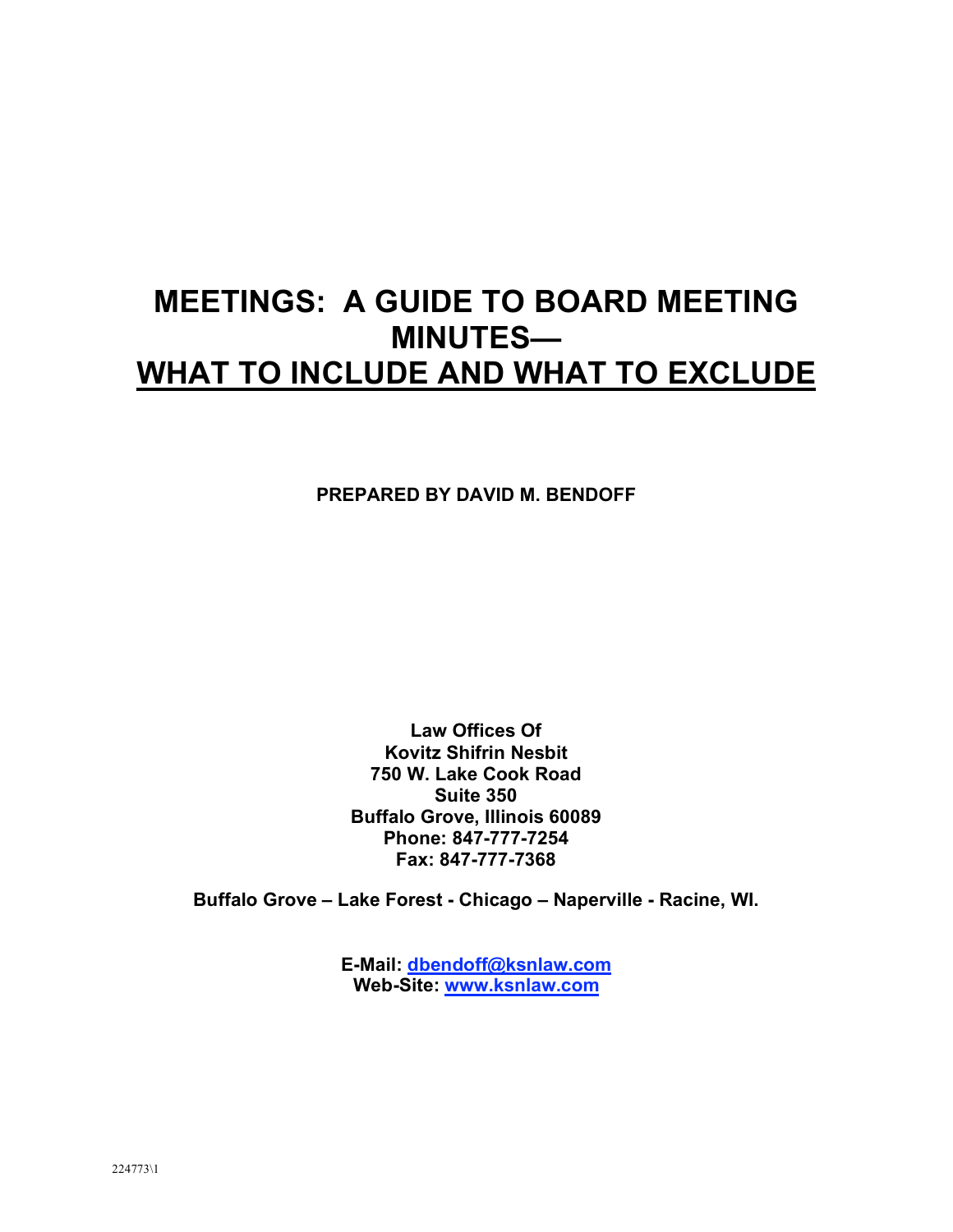## **MEETINGS: A GUIDE TO BOARD MEETING MINUTES— WHAT TO INCLUDE AND WHAT TO EXCLUDE**

**PREPARED BY DAVID M. BENDOFF**

**Law Offices Of Kovitz Shifrin Nesbit 750 W. Lake Cook Road Suite 350 Buffalo Grove, Illinois 60089 Phone: 847-777-7254 Fax: 847-777-7368**

**Buffalo Grove – Lake Forest - Chicago – Naperville - Racine, WI.**

**E-Mail: dbendoff@ksnlaw.com Web-Site: www.ksnlaw.com**